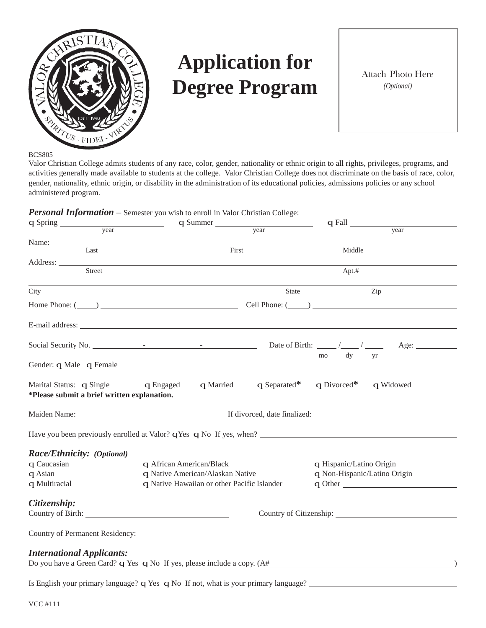

# **Application for Degree Program**

Attach Photo Here *(Optional)*

BCS805

Valor Christian College admits students of any race, color, gender, nationality or ethnic origin to all rights, privileges, programs, and activities generally made available to students at the college. Valor Christian College does not discriminate on the basis of race, color, gender, nationality, ethnic origin, or disability in the administration of its educational policies, admissions policies or any school administered program.



| q Spring                                                                                                                                                                                                                                 | $\frac{q \text{ Summer}}{q \text{6}}$       |       | $q$ Fall $\_\_\_\_\_\_\_\_\_\_$                                                                                                                                                                                                |
|------------------------------------------------------------------------------------------------------------------------------------------------------------------------------------------------------------------------------------------|---------------------------------------------|-------|--------------------------------------------------------------------------------------------------------------------------------------------------------------------------------------------------------------------------------|
| year                                                                                                                                                                                                                                     |                                             |       | year                                                                                                                                                                                                                           |
| Name: Last                                                                                                                                                                                                                               |                                             |       |                                                                                                                                                                                                                                |
|                                                                                                                                                                                                                                          | First                                       |       | Middle                                                                                                                                                                                                                         |
| Address: No. 1996. The Committee of the Committee of the Committee of the Committee of the Committee of the Committee of the Committee of the Committee of the Committee of the Committee of the Committee of the Committee of<br>Street |                                             |       | Apt.#                                                                                                                                                                                                                          |
|                                                                                                                                                                                                                                          |                                             |       |                                                                                                                                                                                                                                |
| City                                                                                                                                                                                                                                     |                                             | State | Zip                                                                                                                                                                                                                            |
|                                                                                                                                                                                                                                          |                                             |       | Home Phone: $(\_\_)$ $\_\_$ Cell Phone: $(\_\_)$                                                                                                                                                                               |
| E-mail address: Note and the set of the set of the set of the set of the set of the set of the set of the set of the set of the set of the set of the set of the set of the set of the set of the set of the set of the set of           |                                             |       |                                                                                                                                                                                                                                |
|                                                                                                                                                                                                                                          |                                             |       |                                                                                                                                                                                                                                |
|                                                                                                                                                                                                                                          |                                             |       | mo dy<br>yr                                                                                                                                                                                                                    |
| Gender: q Male q Female                                                                                                                                                                                                                  |                                             |       |                                                                                                                                                                                                                                |
| Marital Status: q Single<br>*Please submit a brief written explanation.                                                                                                                                                                  | q Engaged                                   |       | q Married q Separated* q Divorced* q Widowed                                                                                                                                                                                   |
|                                                                                                                                                                                                                                          |                                             |       | Maiden Name: 1988 Maintenant Communication and Maintenant Communication and Maintenant Communication and Maintenant Communication and Maintenant Communication and Maintenant Communication and Maintenant Communication and M |
|                                                                                                                                                                                                                                          |                                             |       |                                                                                                                                                                                                                                |
| Race/Ethnicity: (Optional)                                                                                                                                                                                                               |                                             |       |                                                                                                                                                                                                                                |
| q Caucasian                                                                                                                                                                                                                              | q African American/Black                    |       | q Hispanic/Latino Origin                                                                                                                                                                                                       |
| q Asian                                                                                                                                                                                                                                  | q Native American/Alaskan Native            |       | q Non-Hispanic/Latino Origin                                                                                                                                                                                                   |
| q Multiracial                                                                                                                                                                                                                            | q Native Hawaiian or other Pacific Islander |       | q Other                                                                                                                                                                                                                        |
| Citizenship:                                                                                                                                                                                                                             |                                             |       |                                                                                                                                                                                                                                |
|                                                                                                                                                                                                                                          |                                             |       | Country of Citizenship: 2007                                                                                                                                                                                                   |
|                                                                                                                                                                                                                                          |                                             |       |                                                                                                                                                                                                                                |
|                                                                                                                                                                                                                                          |                                             |       |                                                                                                                                                                                                                                |
| <b>International Applicants:</b>                                                                                                                                                                                                         |                                             |       |                                                                                                                                                                                                                                |
|                                                                                                                                                                                                                                          |                                             |       |                                                                                                                                                                                                                                |
|                                                                                                                                                                                                                                          |                                             |       |                                                                                                                                                                                                                                |
|                                                                                                                                                                                                                                          |                                             |       | Is English your primary language? q Yes q No If not, what is your primary language? __________________________                                                                                                                 |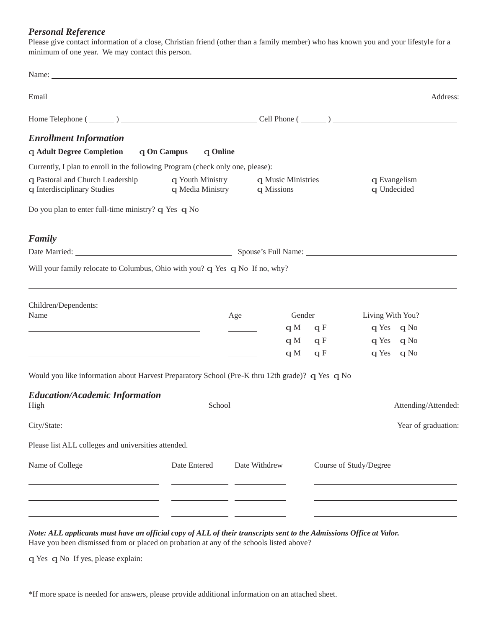#### *Personal Reference*

Please give contact information of a close, Christian friend (other than a family member) who has known you and your lifestyle for a minimum of one year. We may contact this person.

| Email                                                                                                                                                                                                                         |                                      |               |                                  |            |                        | Address:                    |
|-------------------------------------------------------------------------------------------------------------------------------------------------------------------------------------------------------------------------------|--------------------------------------|---------------|----------------------------------|------------|------------------------|-----------------------------|
|                                                                                                                                                                                                                               |                                      |               |                                  |            |                        |                             |
| <b>Enrollment Information</b>                                                                                                                                                                                                 |                                      |               |                                  |            |                        |                             |
| <b>q Adult Degree Completion</b>                                                                                                                                                                                              | q On Campus<br>q Online              |               |                                  |            |                        |                             |
| Currently, I plan to enroll in the following Program (check only one, please):                                                                                                                                                |                                      |               |                                  |            |                        |                             |
| q Pastoral and Church Leadership<br>q Interdisciplinary Studies                                                                                                                                                               | q Youth Ministry<br>q Media Ministry |               | q Music Ministries<br>q Missions |            |                        | q Evangelism<br>q Undecided |
| Do you plan to enter full-time ministry? q Yes q No                                                                                                                                                                           |                                      |               |                                  |            |                        |                             |
| Family                                                                                                                                                                                                                        |                                      |               |                                  |            |                        |                             |
|                                                                                                                                                                                                                               |                                      |               |                                  |            |                        |                             |
| Will your family relocate to Columbus, Ohio with you? $q$ Yes $q$ No If no, why?                                                                                                                                              |                                      |               |                                  |            |                        |                             |
|                                                                                                                                                                                                                               |                                      |               |                                  |            |                        |                             |
| Children/Dependents:<br>Name                                                                                                                                                                                                  |                                      |               | Gender                           |            |                        |                             |
| the control of the control of the control of the control of the control of the control of the control of the control of the control of the control of the control of the control of the control of the control of the control |                                      | Age           | $\mathbf{q}$ M                   | qF         | Living With You?       | q Yes q No                  |
|                                                                                                                                                                                                                               |                                      |               |                                  | $qM \t qF$ |                        | q Yes q No                  |
|                                                                                                                                                                                                                               |                                      |               | qM                               | qF         |                        | q Yes q No                  |
| Would you like information about Harvest Preparatory School (Pre-K thru 12th grade)? q Yes q No                                                                                                                               |                                      |               |                                  |            |                        |                             |
| <b>Education/Academic Information</b><br>High                                                                                                                                                                                 | School                               |               |                                  |            |                        | Attending/Attended:         |
| City/State:                                                                                                                                                                                                                   |                                      |               |                                  |            |                        | Year of graduation:         |
| Please list ALL colleges and universities attended.                                                                                                                                                                           |                                      |               |                                  |            |                        |                             |
|                                                                                                                                                                                                                               |                                      |               |                                  |            |                        |                             |
| Name of College                                                                                                                                                                                                               | Date Entered                         | Date Withdrew |                                  |            | Course of Study/Degree |                             |
|                                                                                                                                                                                                                               |                                      |               |                                  |            |                        |                             |
|                                                                                                                                                                                                                               |                                      |               |                                  |            |                        |                             |
| Note: ALL applicants must have an official copy of ALL of their transcripts sent to the Admissions Office at Valor.                                                                                                           |                                      |               |                                  |            |                        |                             |
| Have you been dismissed from or placed on probation at any of the schools listed above?                                                                                                                                       |                                      |               |                                  |            |                        |                             |

q Yes q No If yes, please explain:

\*If more space is needed for answers, please provide additional information on an attached sheet.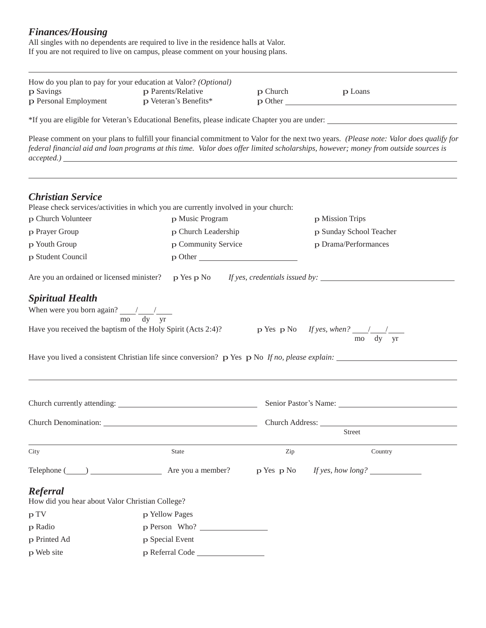#### *Finances/Housing*

All singles with no dependents are required to live in the residence halls at Valor. If you are not required to live on campus, please comment on your housing plans.

|                                                                     | How do you plan to pay for your education at Valor? (Optional)                                            |          |                                                                                                                                                                                                                                                                                |
|---------------------------------------------------------------------|-----------------------------------------------------------------------------------------------------------|----------|--------------------------------------------------------------------------------------------------------------------------------------------------------------------------------------------------------------------------------------------------------------------------------|
| p Savings<br>p Personal Employment                                  | p Parents/Relative<br>p Veteran's Benefits*                                                               | p Church | p Loans<br>$p$ Other                                                                                                                                                                                                                                                           |
|                                                                     |                                                                                                           |          | *If you are eligible for Veteran's Educational Benefits, please indicate Chapter you are under:                                                                                                                                                                                |
|                                                                     |                                                                                                           |          | Please comment on your plans to fulfill your financial commitment to Valor for the next two years. (Please note: Valor does qualify for<br>federal financial aid and loan programs at this time. Valor does offer limited scholarships, however; money from outside sources is |
| <b>Christian Service</b>                                            | Please check services/activities in which you are currently involved in your church:                      |          |                                                                                                                                                                                                                                                                                |
| p Church Volunteer                                                  | p Music Program                                                                                           |          | p Mission Trips                                                                                                                                                                                                                                                                |
| p Prayer Group                                                      | p Church Leadership                                                                                       |          | p Sunday School Teacher                                                                                                                                                                                                                                                        |
| p Youth Group                                                       | p Community Service                                                                                       |          | p Drama/Performances                                                                                                                                                                                                                                                           |
| p Student Council                                                   | $p$ Other                                                                                                 |          |                                                                                                                                                                                                                                                                                |
| Are you an ordained or licensed minister? $p$ Yes $p$ No            |                                                                                                           |          | <i>If yes, credentials issued by:</i>                                                                                                                                                                                                                                          |
| <b>Spiritual Health</b>                                             |                                                                                                           |          |                                                                                                                                                                                                                                                                                |
| When were you born again? $\frac{1}{\text{mo}} \frac{1}{\text{dy}}$ |                                                                                                           |          |                                                                                                                                                                                                                                                                                |
|                                                                     | Have you received the baptism of the Holy Spirit (Acts 2:4)?                                              |          | p Yes p No If yes, when? $\frac{1}{\text{mo}} \frac{1}{\text{dy}}$                                                                                                                                                                                                             |
|                                                                     | Have you lived a consistent Christian life since conversion? $p$ Yes $p$ No <i>If no, please explain:</i> |          |                                                                                                                                                                                                                                                                                |
|                                                                     | Church currently attending:                                                                               |          | Senior Pastor's Name:                                                                                                                                                                                                                                                          |
|                                                                     | Church Denomination:                                                                                      |          | Church Address:                                                                                                                                                                                                                                                                |
|                                                                     |                                                                                                           |          | <b>Street</b>                                                                                                                                                                                                                                                                  |
| City                                                                | <b>State</b>                                                                                              | Zip      | Country                                                                                                                                                                                                                                                                        |
|                                                                     | Telephone (Compared a member?) Are you a member?                                                          |          | p Yes p No If yes, how long?                                                                                                                                                                                                                                                   |
| Referral<br>How did you hear about Valor Christian College?         |                                                                                                           |          |                                                                                                                                                                                                                                                                                |
| p TV                                                                | p Yellow Pages                                                                                            |          |                                                                                                                                                                                                                                                                                |
| p Radio                                                             | p Person Who?                                                                                             |          |                                                                                                                                                                                                                                                                                |
| p Printed Ad                                                        | p Special Event                                                                                           |          |                                                                                                                                                                                                                                                                                |
| p Web site                                                          |                                                                                                           |          |                                                                                                                                                                                                                                                                                |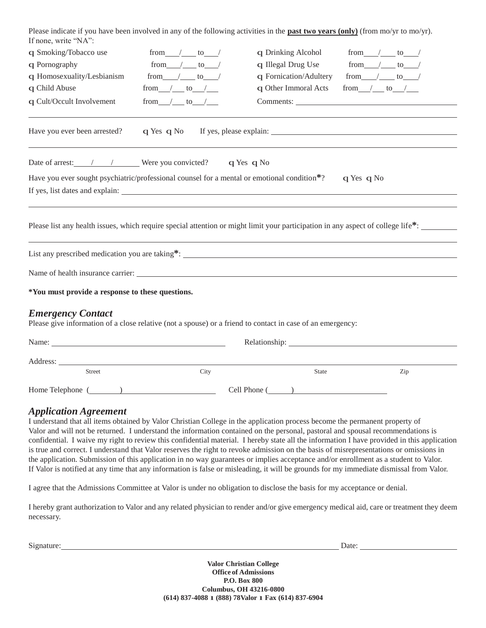| Please indicate if you have been involved in any of the following activities in the <b>past two years (only)</b> (from mo/yr to mo/yr).<br>If none, write "NA": |                 |                                                                                                                                                                                                                                |                                                                                                                                               |
|-----------------------------------------------------------------------------------------------------------------------------------------------------------------|-----------------|--------------------------------------------------------------------------------------------------------------------------------------------------------------------------------------------------------------------------------|-----------------------------------------------------------------------------------------------------------------------------------------------|
| q Smoking/Tobacco use                                                                                                                                           | from $/$ to $/$ | q Drinking Alcohol                                                                                                                                                                                                             | from $/$ to $/$                                                                                                                               |
| q Pornography                                                                                                                                                   | from $/$ to $/$ | q Illegal Drug Use                                                                                                                                                                                                             | from $/$ to $/$                                                                                                                               |
| q Homosexuality/Lesbianism                                                                                                                                      | from $/$ to $/$ | q Fornication/Adultery                                                                                                                                                                                                         | from $/$ to $/$                                                                                                                               |
| q Child Abuse                                                                                                                                                   | from $/$ to $/$ | q Other Immoral Acts                                                                                                                                                                                                           | from $/$ to $/$                                                                                                                               |
| q Cult/Occult Involvement                                                                                                                                       | from $/$ to $/$ |                                                                                                                                                                                                                                |                                                                                                                                               |
| Have you ever been arrested?                                                                                                                                    | q Yes q No      |                                                                                                                                                                                                                                |                                                                                                                                               |
| Date of arrest: 1 1 Vere you convicted? q Yes q No                                                                                                              |                 |                                                                                                                                                                                                                                |                                                                                                                                               |
| Have you ever sought psychiatric/professional counsel for a mental or emotional condition*?                                                                     |                 |                                                                                                                                                                                                                                | q Yes q No                                                                                                                                    |
| If yes, list dates and explain:                                                                                                                                 |                 |                                                                                                                                                                                                                                |                                                                                                                                               |
|                                                                                                                                                                 |                 |                                                                                                                                                                                                                                |                                                                                                                                               |
|                                                                                                                                                                 |                 |                                                                                                                                                                                                                                | Please list any health issues, which require special attention or might limit your participation in any aspect of college life <sup>*</sup> : |
|                                                                                                                                                                 |                 |                                                                                                                                                                                                                                |                                                                                                                                               |
|                                                                                                                                                                 |                 |                                                                                                                                                                                                                                |                                                                                                                                               |
| *You must provide a response to these questions.                                                                                                                |                 |                                                                                                                                                                                                                                |                                                                                                                                               |
| <b>Emergency Contact</b><br>Please give information of a close relative (not a spouse) or a friend to contact in case of an emergency:                          |                 |                                                                                                                                                                                                                                |                                                                                                                                               |
|                                                                                                                                                                 |                 | Relationship: Network of the state of the state of the state of the state of the state of the state of the state of the state of the state of the state of the state of the state of the state of the state of the state of th |                                                                                                                                               |
|                                                                                                                                                                 |                 |                                                                                                                                                                                                                                |                                                                                                                                               |
| <b>Street</b>                                                                                                                                                   | City            | State                                                                                                                                                                                                                          | Zip                                                                                                                                           |
| Home Telephone ( )                                                                                                                                              |                 | Cell Phone ( )                                                                                                                                                                                                                 |                                                                                                                                               |
| Annlication Agreement                                                                                                                                           |                 |                                                                                                                                                                                                                                |                                                                                                                                               |

#### *Application Agreement*

I understand that all items obtained by Valor Christian College in the application process become the permanent property of Valor and will not be returned. I understand the information contained on the personal, pastoral and spousal recommendations is confidential. I waive my right to review this confidential material. I hereby state all the information I have provided in this application is true and correct. I understand that Valor reserves the right to revoke admission on the basis of misrepresentations or omissions in the application. Submission of this application in no way guarantees or implies acceptance and/or enrollment as a student to Valor. If Valor is notified at any time that any information is false or misleading, it will be grounds for my immediate dismissal from Valor.

I agree that the Admissions Committee at Valor is under no obligation to disclose the basis for my acceptance or denial.

I hereby grant authorization to Valor and any related physician to render and/or give emergency medical aid, care or treatment they deem necessary.

Signature: Date: Determine Contract Contract Contract Contract Contract Contract Contract Contract Contract Contract Contract Contract Contract Contract Contract Contract Contract Contract Contract Contract Contract Contra

**Valor Christian College Office of Admissions P.O. Box 800 Columbus, OH 43216-0800 (614) 837-4088** l**(888) 78Valor** l**Fax (614) 837-6904**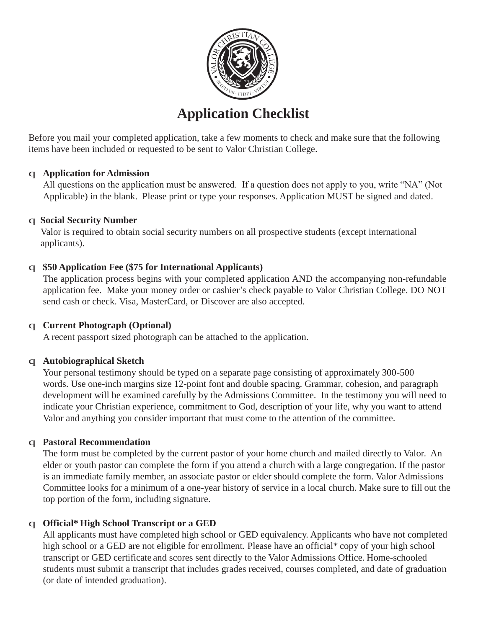

# **Application Checklist**

Before you mail your completed application, take a few moments to check and make sure that the following items have been included or requested to be sent to Valor Christian College.

#### q **Application for Admission**

All questions on the application must be answered. If a question does not apply to you, write "NA" (Not Applicable) in the blank. Please print or type your responses. Application MUST be signed and dated.

#### q **Social Security Number**

Valor is required to obtain social security numbers on all prospective students (except international applicants).

#### q **\$50 Application Fee (\$75 for International Applicants)**

The application process begins with your completed application AND the accompanying non-refundable application fee. Make your money order or cashier's check payable to Valor Christian College. DO NOT send cash or check. Visa, MasterCard, or Discover are also accepted.

#### q **Current Photograph (Optional)**

A recent passport sized photograph can be attached to the application.

#### q **Autobiographical Sketch**

Your personal testimony should be typed on a separate page consisting of approximately 300-500 words. Use one-inch margins size 12-point font and double spacing. Grammar, cohesion, and paragraph development will be examined carefully by the Admissions Committee. In the testimony you will need to indicate your Christian experience, commitment to God, description of your life, why you want to attend Valor and anything you consider important that must come to the attention of the committee.

#### q **Pastoral Recommendation**

The form must be completed by the current pastor of your home church and mailed directly to Valor. An elder or youth pastor can complete the form if you attend a church with a large congregation. If the pastor is an immediate family member, an associate pastor or elder should complete the form. Valor Admissions Committee looks for a minimum of a one-year history of service in a local church. Make sure to fill out the top portion of the form, including signature.

#### q **Official\* High School Transcript or a GED**

All applicants must have completed high school or GED equivalency. Applicants who have not completed high school or a GED are not eligible for enrollment. Please have an official\* copy of your high school transcript or GED certificate and scores sent directly to the Valor Admissions Office. Home-schooled students must submit a transcript that includes grades received, courses completed, and date of graduation (or date of intended graduation).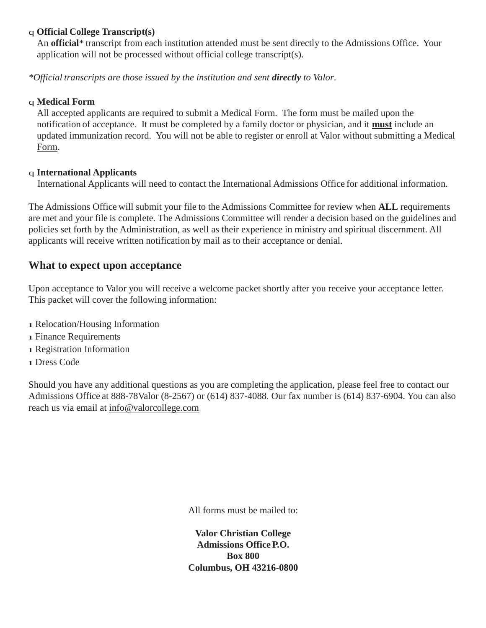#### q **Official College Transcript(s)**

An **official**\* transcript from each institution attended must be sent directly to the Admissions Office. Your application will not be processed without official college transcript(s).

*\*Official transcripts are those issued by the institution and sent directly to Valor*.

#### q **Medical Form**

All accepted applicants are required to submit a Medical Form. The form must be mailed upon the notification of acceptance. It must be completed by a family doctor or physician, and it **must** include an updated immunization record. You will not be able to register or enroll at Valor without submitting a Medical Form.

#### q **International Applicants**

International Applicants will need to contact the International Admissions Office for additional information.

The Admissions Office will submit your file to the Admissions Committee for review when **ALL** requirements are met and your file is complete. The Admissions Committee will render a decision based on the guidelines and policies set forth by the Administration, as well as their experience in ministry and spiritual discernment. All applicants will receive written notification by mail as to their acceptance or denial.

#### **What to expect upon acceptance**

Upon acceptance to Valor you will receive a welcome packet shortly after you receive your acceptance letter. This packet will cover the following information:

- 1 Relocation/Housing Information
- 1 Finance Requirements
- 1 Registration Information
- 1 Dress Code

Should you have any additional questions as you are completing the application, please feel free to contact our Admissions Office at 888-78Valor (8-2567) or (614) 837-4088. Our fax number is (614) 837-6904. You can also reach us via email at [info@valorcollege.com](mailto:info@valorcollege.com)

All forms must be mailed to:

**Valor Christian College Admissions Office P.O. Box 800 Columbus, OH 43216-0800**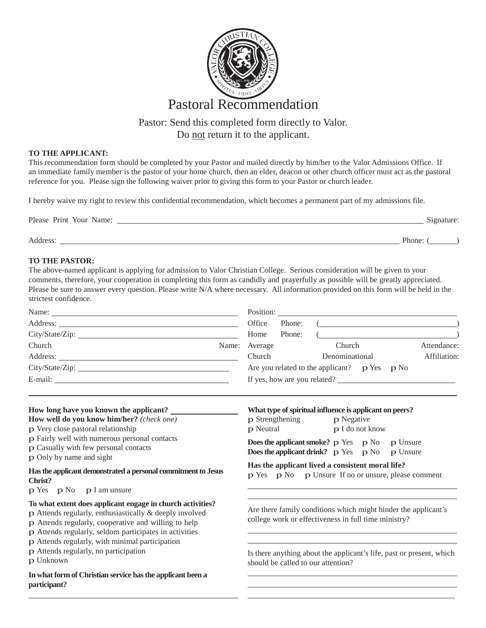

### Pastor: Send this completed form directly to Valor. Do not return it to the applicant.

#### **TO THE APPLICANT:**

This recommendation form should be completed by your Pastor and mailed directly by him/her to the Valor Admissions Office. If an immediate family member is the pastor of your home church, then an elder, deacon or other church officer must act as the pastoral reference for you. Please sign the following waiver prior to giving this form to your Pastor or church leader.

I hereby waive my right to review this confidential recommendation, which becomes a permanent part of my admissions file.

| Please Print Your Name: | Signature: |
|-------------------------|------------|
| Address:                | Phone:     |

#### **TO THE PASTOR:**

The above-named applicant is applying for admission to Valor Christian College. Serious consideration will be given to your comments, therefore, your cooperation in completing this form as candidly and prayerfully as possible will be greatly appreciated. Please be sure to answer every question. Please write N/A where necessary. All information provided on this form will be held in the strictest confidence.

| Name:                                                                                                                                                                                                                          |               |        |                                                                                                                                                                                                                                                                                                                                                                                      |  |              |
|--------------------------------------------------------------------------------------------------------------------------------------------------------------------------------------------------------------------------------|---------------|--------|--------------------------------------------------------------------------------------------------------------------------------------------------------------------------------------------------------------------------------------------------------------------------------------------------------------------------------------------------------------------------------------|--|--------------|
|                                                                                                                                                                                                                                | Office        | Phone: | $\overline{a}$ $\overline{a}$ $\overline{a}$ $\overline{a}$ $\overline{a}$ $\overline{a}$ $\overline{a}$ $\overline{a}$ $\overline{a}$ $\overline{a}$ $\overline{a}$ $\overline{a}$ $\overline{a}$ $\overline{a}$ $\overline{a}$ $\overline{a}$ $\overline{a}$ $\overline{a}$ $\overline{a}$ $\overline{a}$ $\overline{a}$ $\overline{a}$ $\overline{a}$ $\overline{a}$ $\overline{$ |  |              |
|                                                                                                                                                                                                                                | Home          | Phone: |                                                                                                                                                                                                                                                                                                                                                                                      |  |              |
| Church                                                                                                                                                                                                                         | Name: Average |        | Church                                                                                                                                                                                                                                                                                                                                                                               |  | Attendance:  |
| Address:                                                                                                                                                                                                                       | Church        |        | Denominational                                                                                                                                                                                                                                                                                                                                                                       |  | Affiliation: |
|                                                                                                                                                                                                                                |               |        | Are you related to the applicant? $p$ Yes $p$ No                                                                                                                                                                                                                                                                                                                                     |  |              |
| E-mail: The contract of the contract of the contract of the contract of the contract of the contract of the contract of the contract of the contract of the contract of the contract of the contract of the contract of the co |               |        | If yes, how are you related?                                                                                                                                                                                                                                                                                                                                                         |  |              |
|                                                                                                                                                                                                                                |               |        |                                                                                                                                                                                                                                                                                                                                                                                      |  |              |

| How long have you known the applicant?<br>How well do you know him/her? (check one)                                                                                                                                                            | What type of spiritual influence is applicant on peers?<br><b>p</b> Strengthening<br>p Negative                        |  |  |  |  |
|------------------------------------------------------------------------------------------------------------------------------------------------------------------------------------------------------------------------------------------------|------------------------------------------------------------------------------------------------------------------------|--|--|--|--|
| p Very close pastoral relationship                                                                                                                                                                                                             | p I do not know<br>p Neutral                                                                                           |  |  |  |  |
| p Fairly well with numerous personal contacts<br>p Casually with few personal contacts<br>p Only by name and sight                                                                                                                             | <b>Does the applicant smoke?</b> p Yes p No p Unsure<br><b>Does the applicant drink?</b> $p$ Yes $p$ No<br>p Unsure    |  |  |  |  |
| Has the applicant demonstrated a personal commitment to Jesus<br>Christ?<br>$p$ Yes $p$ No $p$ I am unsure                                                                                                                                     | Has the applicant lived a consistent moral life?<br>p Yes p No p Unsure If no or unsure, please comment                |  |  |  |  |
| To what extent does applicant engage in church activities?<br>$\bf{p}$ Attends regularly, enthusiastically & deeply involved<br>p Attends regularly, cooperative and willing to help<br>p Attends regularly, seldom participates in activities | Are there family conditions which might hinder the applicant's<br>college work or effectiveness in full time ministry? |  |  |  |  |
| p Attends regularly, with minimal participation<br>p Attends regularly, no participation<br>p Unknown                                                                                                                                          | Is there anything about the applicant's life, past or present, which<br>should be called to our attention?             |  |  |  |  |
| In what form of Christian service has the applicant been a<br>participant?                                                                                                                                                                     |                                                                                                                        |  |  |  |  |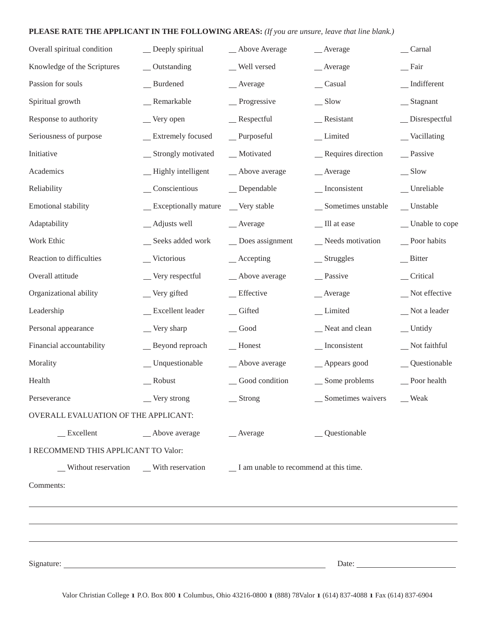#### **PLEASE RATE THE APPLICANT IN THE FOLLOWING AREAS:** *(If you are unsure, leave that line blank.)*

| Overall spiritual condition          | _ Deeply spiritual                 | _Above Average                                                                                   | $\_\$ Average                         | Carnal                               |
|--------------------------------------|------------------------------------|--------------------------------------------------------------------------------------------------|---------------------------------------|--------------------------------------|
| Knowledge of the Scriptures          | _Outstanding                       | _ Well versed                                                                                    | _Average                              | $\equiv$ Fair                        |
| Passion for souls                    | _Burdened                          | $\_\_$ Average                                                                                   | $\_\_$ Casual                         | $\overline{\phantom{a}}$ Indifferent |
| Spiritual growth                     | _Remarkable                        | _Progressive                                                                                     | $\equiv$ Slow                         | _ Stagnant                           |
| Response to authority                | _Very open                         | Respectful                                                                                       | $R$ esistant                          | $\Box$ Disrespectful                 |
| Seriousness of purpose               | _ Extremely focused                | $P$ urposeful                                                                                    | _Limited                              | _Vacillating                         |
| Initiative                           | _ Strongly motivated               | _Motivated                                                                                       | _Requires direction                   | _Passive                             |
| Academics                            | -Highly intelligent                | _Above average                                                                                   | _Average                              | $\equiv$ Slow                        |
| Reliability                          | $\sqrt{\frac{1}{2}}$ Conscientious | $\_\_$ Dependable                                                                                | $\overline{\phantom{a}}$ Inconsistent | $\_$ Unreliable                      |
| Emotional stability                  | _ Exceptionally mature             | _Very stable                                                                                     | _ Sometimes unstable                  | _Unstable                            |
| Adaptability                         | _Adjusts well                      | $\_\_$ Average                                                                                   | _ Ill at ease                         | _ Unable to cope                     |
| Work Ethic                           | _ Seeks added work                 | _Does assignment                                                                                 | _Needs motivation                     | _Poor habits                         |
| Reaction to difficulties             | _Victorious                        | $\_\_\$ Accepting                                                                                | $S$ truggles                          | Bitter                               |
| Overall attitude                     | _Very respectful                   | _Above average                                                                                   | _Passive                              | _Critical                            |
| Organizational ability               | _Very gifted                       | _Effective                                                                                       | _Average                              | _Not effective                       |
| Leadership                           | _ Excellent leader                 | $\equiv$ Gifted                                                                                  | _Limited                              | Not a leader                         |
| Personal appearance                  | $\equiv$ Very sharp                | $\_\$ {Good}                                                                                     | Neat and clean                        | $\equiv$ Untidy                      |
| Financial accountability             | _Beyond reproach                   | $\overline{\phantom{a}}$ Honest                                                                  | $\overline{\phantom{a}}$ Inconsistent | Not faithful                         |
| Morality                             | _Unquestionable                    | _ Above average                                                                                  | _Appears good                         | _Questionable                        |
| Health                               | Robust                             | _Good condition                                                                                  | _ Some problems                       | _Poor health                         |
| Perseverance                         | Very strong                        | $S$ trong                                                                                        | __ Sometimes waivers ___ Weak         |                                      |
| OVERALL EVALUATION OF THE APPLICANT: |                                    |                                                                                                  |                                       |                                      |
| $\equiv$ Excellent                   | _Above average                     | $\_\_$ Average                                                                                   | _Questionable                         |                                      |
| I RECOMMEND THIS APPLICANT TO Valor: |                                    |                                                                                                  |                                       |                                      |
|                                      |                                    | $\Box$ Without reservation $\Box$ With reservation $\Box$ I am unable to recommend at this time. |                                       |                                      |
| Comments:                            |                                    |                                                                                                  |                                       |                                      |
|                                      |                                    |                                                                                                  |                                       |                                      |
|                                      |                                    |                                                                                                  |                                       |                                      |
|                                      |                                    |                                                                                                  |                                       |                                      |
|                                      |                                    |                                                                                                  |                                       |                                      |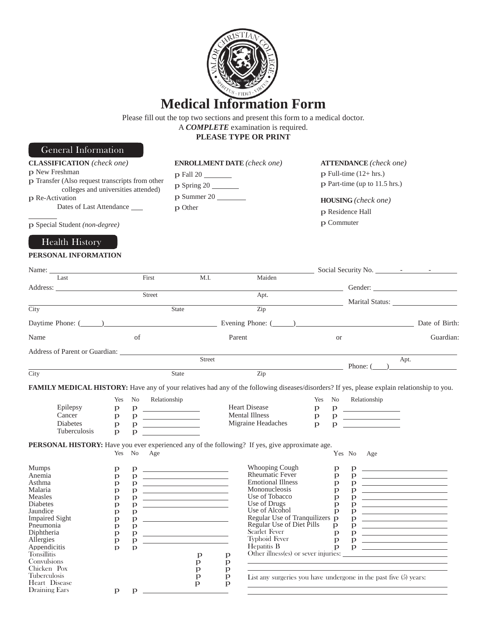

#### Please fill out the top two sections and present this form to a medical doctor.

A *COMPLETE* examination is required.

**PLEASE TYPE OR PRINT**

## General Information

| <b>CLASSIFICATION</b> (check one)<br>p New Freshman<br>p Transfer (Also request transcripts from other<br>colleges and universities attended)<br>p Re-Activation<br>Dates of Last Attendance<br>p Special Student (non-degree)<br><b>Health History</b> |                                        |                                           | p Fall 20<br>$p$ Spring 20<br>$p$ Summer 20<br>p Other                                                                                                                                                                                 |                              | <b>ENROLLMENT DATE</b> (check one)                                                                                                               |              |                                 | <b>ATTENDANCE</b> (check one)<br>$p$ Full-time (12+ hrs.)<br>p Part-time (up to 11.5 hrs.)<br><b>HOUSING</b> (check one)<br>p Residence Hall<br>p Commuter                                                                     |                                                                                                                                                                                                                                  |
|---------------------------------------------------------------------------------------------------------------------------------------------------------------------------------------------------------------------------------------------------------|----------------------------------------|-------------------------------------------|----------------------------------------------------------------------------------------------------------------------------------------------------------------------------------------------------------------------------------------|------------------------------|--------------------------------------------------------------------------------------------------------------------------------------------------|--------------|---------------------------------|--------------------------------------------------------------------------------------------------------------------------------------------------------------------------------------------------------------------------------|----------------------------------------------------------------------------------------------------------------------------------------------------------------------------------------------------------------------------------|
| PERSONAL INFORMATION                                                                                                                                                                                                                                    |                                        |                                           |                                                                                                                                                                                                                                        |                              |                                                                                                                                                  |              |                                 |                                                                                                                                                                                                                                |                                                                                                                                                                                                                                  |
| Last                                                                                                                                                                                                                                                    |                                        | First                                     | M.I.                                                                                                                                                                                                                                   |                              | Maiden                                                                                                                                           |              |                                 |                                                                                                                                                                                                                                |                                                                                                                                                                                                                                  |
|                                                                                                                                                                                                                                                         |                                        |                                           |                                                                                                                                                                                                                                        |                              |                                                                                                                                                  |              |                                 | Gender: Commercial Commercial Commercial Commercial Commercial Commercial Commercial Commercial Commercial Commercial Commercial Commercial Commercial Commercial Commercial Commercial Commercial Commercial Commercial Comme |                                                                                                                                                                                                                                  |
|                                                                                                                                                                                                                                                         |                                        | Street                                    |                                                                                                                                                                                                                                        |                              | Apt.                                                                                                                                             |              |                                 | Marital Status:                                                                                                                                                                                                                |                                                                                                                                                                                                                                  |
| City                                                                                                                                                                                                                                                    |                                        |                                           | State                                                                                                                                                                                                                                  |                              | Zip                                                                                                                                              |              |                                 |                                                                                                                                                                                                                                |                                                                                                                                                                                                                                  |
| Daytime Phone: $(\_\_)$                                                                                                                                                                                                                                 |                                        |                                           |                                                                                                                                                                                                                                        |                              |                                                                                                                                                  |              |                                 |                                                                                                                                                                                                                                | Date of Birth:                                                                                                                                                                                                                   |
| Name                                                                                                                                                                                                                                                    |                                        | of                                        |                                                                                                                                                                                                                                        | Parent                       |                                                                                                                                                  |              | <b>or</b>                       |                                                                                                                                                                                                                                | Guardian:                                                                                                                                                                                                                        |
|                                                                                                                                                                                                                                                         |                                        |                                           |                                                                                                                                                                                                                                        |                              |                                                                                                                                                  |              |                                 |                                                                                                                                                                                                                                |                                                                                                                                                                                                                                  |
|                                                                                                                                                                                                                                                         |                                        |                                           | Street                                                                                                                                                                                                                                 |                              |                                                                                                                                                  |              |                                 |                                                                                                                                                                                                                                | Apt.                                                                                                                                                                                                                             |
|                                                                                                                                                                                                                                                         |                                        |                                           |                                                                                                                                                                                                                                        |                              |                                                                                                                                                  |              |                                 | Phone: ( )                                                                                                                                                                                                                     |                                                                                                                                                                                                                                  |
| City                                                                                                                                                                                                                                                    |                                        |                                           | <b>State</b>                                                                                                                                                                                                                           |                              | Zip                                                                                                                                              |              |                                 |                                                                                                                                                                                                                                |                                                                                                                                                                                                                                  |
| FAMILY MEDICAL HISTORY: Have any of your relatives had any of the following diseases/disorders? If yes, please explain relationship to you.                                                                                                             |                                        |                                           |                                                                                                                                                                                                                                        |                              |                                                                                                                                                  |              |                                 |                                                                                                                                                                                                                                |                                                                                                                                                                                                                                  |
|                                                                                                                                                                                                                                                         | Yes                                    | No<br>Relationship                        |                                                                                                                                                                                                                                        |                              |                                                                                                                                                  | Yes          | No                              | Relationship                                                                                                                                                                                                                   |                                                                                                                                                                                                                                  |
| Epilepsy                                                                                                                                                                                                                                                | p                                      |                                           |                                                                                                                                                                                                                                        |                              | <b>Heart Disease</b>                                                                                                                             | $\mathbf{p}$ |                                 | $p \sim$                                                                                                                                                                                                                       |                                                                                                                                                                                                                                  |
| Cancer                                                                                                                                                                                                                                                  | p                                      | p.                                        | <u> 1980 - Andrea Station Barbara, ameri</u> kan                                                                                                                                                                                       |                              | <b>Mental Illness</b>                                                                                                                            | $\mathbf{p}$ | p.                              |                                                                                                                                                                                                                                |                                                                                                                                                                                                                                  |
| Diabetes                                                                                                                                                                                                                                                | p                                      | p                                         |                                                                                                                                                                                                                                        |                              | Migraine Headaches                                                                                                                               | $\mathbf{p}$ | p                               |                                                                                                                                                                                                                                |                                                                                                                                                                                                                                  |
| Tuberculosis                                                                                                                                                                                                                                            | $\mathbf{D}$                           | $\mathbf{p}$                              |                                                                                                                                                                                                                                        |                              |                                                                                                                                                  |              |                                 |                                                                                                                                                                                                                                |                                                                                                                                                                                                                                  |
| <b>PERSONAL HISTORY:</b> Have you ever experienced any of the following? If yes, give approximate age.<br><b>Mumps</b><br>Anemia<br>Asthma<br>Malaria<br>Measles<br>Diabetes<br>Jaundice                                                                | Yes<br>p<br>p<br>p<br>p<br>p<br>p<br>p | No<br>Age<br>p.<br>p.<br>p<br>p<br>p<br>p | <u> 1989 - Johann John Stone, mars et al. 1989 - John Stone Barnett, fransk konge og det af f</u><br><u> 1999 - Johann Harry Harry Harry Harry Harry Harry Harry Harry Harry Harry Harry Harry Harry Harry Harry Harry</u><br>$p \sim$ |                              | <b>Whooping Cough</b><br><b>Rheumatic Fever</b><br><b>Emotional Illness</b><br>Mononucleosis<br>Use of Tobacco<br>Use of Drugs<br>Use of Alcohol |              | р<br>p<br>p<br>p<br>p<br>p<br>p | Yes No<br>Age<br>p<br>p<br>p.<br>p<br>p<br>p<br>$\mathbf{p}$                                                                                                                                                                   | <u> 1989 - Johann Barbara, martin amerikan basal da</u><br><u> The Communication of the Communication of the Communication of the Communication of the Communication of</u><br><u> The Communication of the Communication of</u> |
| <b>Impaired Sight</b>                                                                                                                                                                                                                                   | p                                      | p                                         |                                                                                                                                                                                                                                        |                              | Regular Use of Tranquilizers p                                                                                                                   |              |                                 | p                                                                                                                                                                                                                              | <u> The Communication of the Communication</u>                                                                                                                                                                                   |
| Pneumonia                                                                                                                                                                                                                                               | p                                      | $\mathbf{p}$                              |                                                                                                                                                                                                                                        |                              | Regular Use of Diet Pills<br>Scarlet Fever                                                                                                       |              | p                               | p.                                                                                                                                                                                                                             | <u> Alexandria de la conte</u>                                                                                                                                                                                                   |
| Diphtheria<br>Allergies                                                                                                                                                                                                                                 | p                                      | p.                                        |                                                                                                                                                                                                                                        |                              | <b>Typhoid Fever</b>                                                                                                                             |              | p                               | p                                                                                                                                                                                                                              | <u> The Communication of the Communication</u>                                                                                                                                                                                   |
| Appendicitis                                                                                                                                                                                                                                            | p                                      | p                                         |                                                                                                                                                                                                                                        |                              | Hepatitis B                                                                                                                                      |              | $\mathbf{p}$<br>$\mathbf{p}$    |                                                                                                                                                                                                                                |                                                                                                                                                                                                                                  |
| <b>Tonsillitis</b>                                                                                                                                                                                                                                      | $\mathbf{p}$                           | $\mathbf{D}$                              |                                                                                                                                                                                                                                        |                              |                                                                                                                                                  |              |                                 |                                                                                                                                                                                                                                |                                                                                                                                                                                                                                  |
| Convulsions                                                                                                                                                                                                                                             |                                        |                                           | p<br>p                                                                                                                                                                                                                                 | $\mathbf{p}$<br>$\, {\bf p}$ |                                                                                                                                                  |              |                                 | <u> 1989 - Johann Barn, amerikansk politiker (</u>                                                                                                                                                                             |                                                                                                                                                                                                                                  |
| Chicken Pox                                                                                                                                                                                                                                             |                                        |                                           | p                                                                                                                                                                                                                                      | $\mathbf{p}$                 |                                                                                                                                                  |              |                                 |                                                                                                                                                                                                                                |                                                                                                                                                                                                                                  |
| Tuberculosis                                                                                                                                                                                                                                            |                                        |                                           | $\mathbf{p}$                                                                                                                                                                                                                           | $\mathbf{p}$                 |                                                                                                                                                  |              |                                 | List any surgeries you have undergone in the past five (5) years:                                                                                                                                                              |                                                                                                                                                                                                                                  |
| Heart Disease                                                                                                                                                                                                                                           |                                        |                                           | p                                                                                                                                                                                                                                      | $\mathbf{p}$                 |                                                                                                                                                  |              |                                 |                                                                                                                                                                                                                                |                                                                                                                                                                                                                                  |
| Draining Ears                                                                                                                                                                                                                                           | p.                                     | $\mathbf{p}$                              |                                                                                                                                                                                                                                        |                              |                                                                                                                                                  |              |                                 |                                                                                                                                                                                                                                |                                                                                                                                                                                                                                  |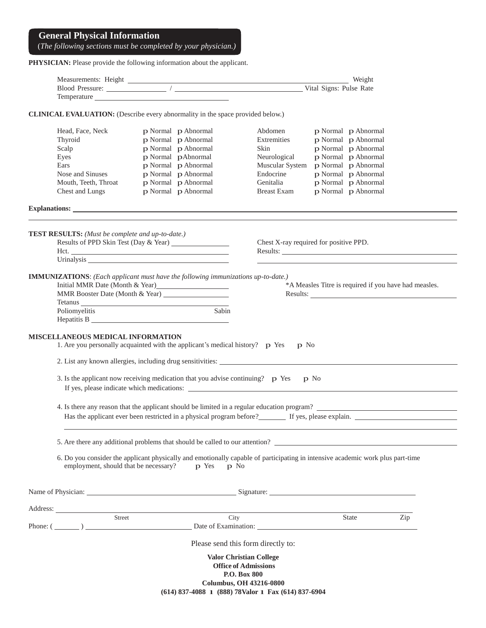#### **General Physical Information**

(*The following sections must be completed by your physician.)*

PHYSICIAN: Please provide the following information about the applicant.

| Measurements: Height |  | Weight                  |
|----------------------|--|-------------------------|
| Blood Pressure:      |  | Vital Signs: Pulse Rate |
| Temperature          |  |                         |

**CLINICAL EVALUATION:** (Describe every abnormality in the space provided below.)

| Head, Face, Neck                                                                                                                                                                                                               | p Normal p Abnormal | Abdomen                                                                                              |      | p Normal p Abnormal                                                                                                                                                                                                                  |     |
|--------------------------------------------------------------------------------------------------------------------------------------------------------------------------------------------------------------------------------|---------------------|------------------------------------------------------------------------------------------------------|------|--------------------------------------------------------------------------------------------------------------------------------------------------------------------------------------------------------------------------------------|-----|
| Thyroid                                                                                                                                                                                                                        | p Normal p Abnormal | Extremities                                                                                          |      | p Normal p Abnormal                                                                                                                                                                                                                  |     |
| Scalp                                                                                                                                                                                                                          | p Normal p Abnormal | Skin                                                                                                 |      | p Normal p Abnormal                                                                                                                                                                                                                  |     |
| Eyes                                                                                                                                                                                                                           | p Normal pAbnormal  | Neurological                                                                                         |      | p Normal p Abnormal                                                                                                                                                                                                                  |     |
| Ears                                                                                                                                                                                                                           | p Normal p Abnormal | Muscular System                                                                                      |      | p Normal p Abnormal                                                                                                                                                                                                                  |     |
| Nose and Sinuses                                                                                                                                                                                                               | p Normal p Abnormal | Endocrine                                                                                            |      | p Normal p Abnormal                                                                                                                                                                                                                  |     |
| Mouth, Teeth, Throat                                                                                                                                                                                                           | p Normal p Abnormal | Genitalia                                                                                            |      | p Normal p Abnormal                                                                                                                                                                                                                  |     |
| Chest and Lungs                                                                                                                                                                                                                | p Normal p Abnormal | <b>Breast Exam</b>                                                                                   |      | p Normal p Abnormal                                                                                                                                                                                                                  |     |
|                                                                                                                                                                                                                                |                     |                                                                                                      |      |                                                                                                                                                                                                                                      |     |
|                                                                                                                                                                                                                                |                     |                                                                                                      |      |                                                                                                                                                                                                                                      |     |
| TEST RESULTS: (Must be complete and up-to-date.)                                                                                                                                                                               |                     |                                                                                                      |      |                                                                                                                                                                                                                                      |     |
| Results of PPD Skin Test (Day & Year) _________________                                                                                                                                                                        |                     | Chest X-ray required for positive PPD.                                                               |      |                                                                                                                                                                                                                                      |     |
| Hct.                                                                                                                                                                                                                           |                     |                                                                                                      |      | Results: <u>New York: New York: New York: New York: New York: New York: New York: New York: New York: New York: New York: New York: New York: New York: New York: New York: New York: New York: New York: New York: New York: Ne</u> |     |
|                                                                                                                                                                                                                                |                     |                                                                                                      |      | the control of the control of the control of the control of the control of the control of                                                                                                                                            |     |
| <b>IMMUNIZATIONS:</b> (Each applicant must have the following immunizations up-to-date.)                                                                                                                                       |                     |                                                                                                      |      |                                                                                                                                                                                                                                      |     |
| Initial MMR Date (Month & Year)                                                                                                                                                                                                |                     |                                                                                                      |      | *A Measles Titre is required if you have had measles.                                                                                                                                                                                |     |
| MMR Booster Date (Month & Year)                                                                                                                                                                                                |                     |                                                                                                      |      | Results:                                                                                                                                                                                                                             |     |
|                                                                                                                                                                                                                                |                     |                                                                                                      |      |                                                                                                                                                                                                                                      |     |
| Tetanus et al. 2003 and 2003 and 2003 and 2003 and 2003 and 2003 and 2003 and 2003 and 2003 and 200                                                                                                                            | Sabin               |                                                                                                      |      |                                                                                                                                                                                                                                      |     |
| Poliomyelitis                                                                                                                                                                                                                  |                     |                                                                                                      |      |                                                                                                                                                                                                                                      |     |
|                                                                                                                                                                                                                                |                     |                                                                                                      |      |                                                                                                                                                                                                                                      |     |
| MISCELLANEOUS MEDICAL INFORMATION                                                                                                                                                                                              |                     |                                                                                                      |      |                                                                                                                                                                                                                                      |     |
| 1. Are you personally acquainted with the applicant's medical history? p Yes                                                                                                                                                   |                     | p No                                                                                                 |      |                                                                                                                                                                                                                                      |     |
|                                                                                                                                                                                                                                |                     |                                                                                                      |      |                                                                                                                                                                                                                                      |     |
| 3. Is the applicant now receiving medication that you advise continuing? $\mathbf{p}$ Yes                                                                                                                                      |                     |                                                                                                      | p No |                                                                                                                                                                                                                                      |     |
|                                                                                                                                                                                                                                |                     |                                                                                                      |      |                                                                                                                                                                                                                                      |     |
| 4. Is there any reason that the applicant should be limited in a regular education program?                                                                                                                                    |                     |                                                                                                      |      |                                                                                                                                                                                                                                      |     |
|                                                                                                                                                                                                                                |                     | Has the applicant ever been restricted in a physical program before? The set of yes, please explain. |      |                                                                                                                                                                                                                                      |     |
|                                                                                                                                                                                                                                |                     |                                                                                                      |      |                                                                                                                                                                                                                                      |     |
| 5. Are there any additional problems that should be called to our attention?                                                                                                                                                   |                     |                                                                                                      |      |                                                                                                                                                                                                                                      |     |
|                                                                                                                                                                                                                                |                     |                                                                                                      |      |                                                                                                                                                                                                                                      |     |
| 6. Do you consider the applicant physically and emotionally capable of participating in intensive academic work plus part-time<br>employment, should that be necessary?                                                        | p Yes               | p No                                                                                                 |      |                                                                                                                                                                                                                                      |     |
|                                                                                                                                                                                                                                |                     |                                                                                                      |      |                                                                                                                                                                                                                                      |     |
| Name of Physician: Signature: Signature: Signature: Signature: Signature: Signature: Signature: Signature: Signature: Signature: Signature: Signature: Signature: Signature: Signature: Signature: Signature: Signature: Signa |                     |                                                                                                      |      |                                                                                                                                                                                                                                      |     |
| Address:                                                                                                                                                                                                                       |                     |                                                                                                      |      |                                                                                                                                                                                                                                      |     |
| Street                                                                                                                                                                                                                         |                     | City                                                                                                 |      | State                                                                                                                                                                                                                                | Zip |
|                                                                                                                                                                                                                                |                     |                                                                                                      |      |                                                                                                                                                                                                                                      |     |

Please send this form directly to:

**Valor Christian College Office of Admissions P.O. Box 800 Columbus, OH 43216-0800 (614) 837-4088** l **(888) 78Valor** l **Fax (614) 837-6904**